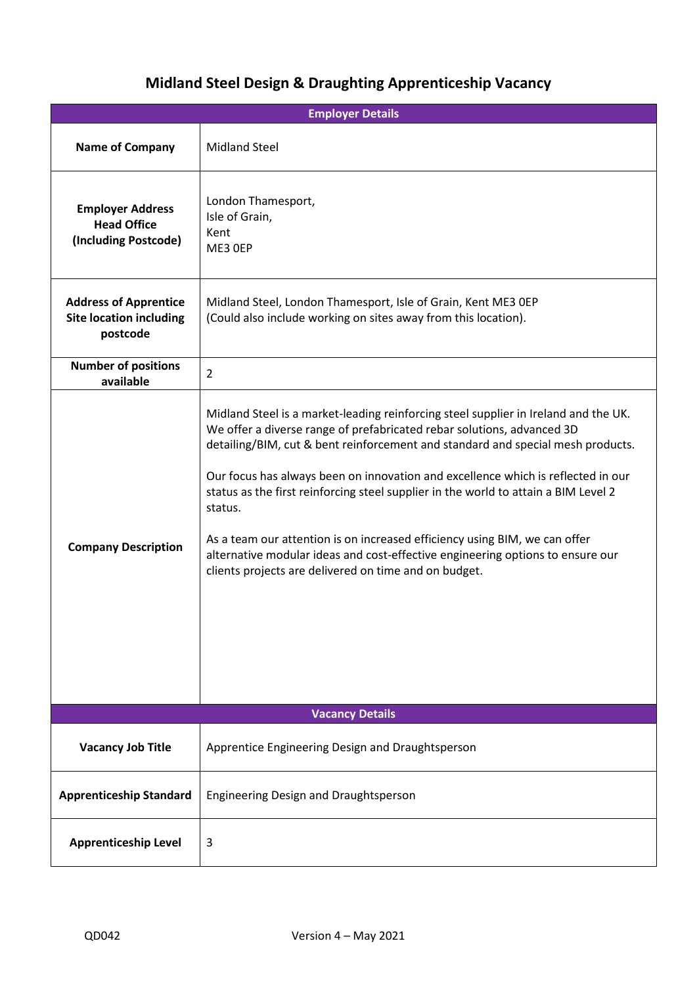## **Midland Steel Design & Draughting Apprenticeship Vacancy**

| <b>Employer Details</b>                                                    |                                                                                                                                                                                                                                                                                                                                                                                                                                                                                                                                                                                                                                                                 |  |  |  |  |  |
|----------------------------------------------------------------------------|-----------------------------------------------------------------------------------------------------------------------------------------------------------------------------------------------------------------------------------------------------------------------------------------------------------------------------------------------------------------------------------------------------------------------------------------------------------------------------------------------------------------------------------------------------------------------------------------------------------------------------------------------------------------|--|--|--|--|--|
| <b>Name of Company</b>                                                     | <b>Midland Steel</b>                                                                                                                                                                                                                                                                                                                                                                                                                                                                                                                                                                                                                                            |  |  |  |  |  |
| <b>Employer Address</b><br><b>Head Office</b><br>(Including Postcode)      | London Thamesport,<br>Isle of Grain,<br>Kent<br>ME3 OEP                                                                                                                                                                                                                                                                                                                                                                                                                                                                                                                                                                                                         |  |  |  |  |  |
| <b>Address of Apprentice</b><br><b>Site location including</b><br>postcode | Midland Steel, London Thamesport, Isle of Grain, Kent ME3 OEP<br>(Could also include working on sites away from this location).                                                                                                                                                                                                                                                                                                                                                                                                                                                                                                                                 |  |  |  |  |  |
| <b>Number of positions</b><br>available                                    | $\overline{2}$                                                                                                                                                                                                                                                                                                                                                                                                                                                                                                                                                                                                                                                  |  |  |  |  |  |
| <b>Company Description</b>                                                 | Midland Steel is a market-leading reinforcing steel supplier in Ireland and the UK.<br>We offer a diverse range of prefabricated rebar solutions, advanced 3D<br>detailing/BIM, cut & bent reinforcement and standard and special mesh products.<br>Our focus has always been on innovation and excellence which is reflected in our<br>status as the first reinforcing steel supplier in the world to attain a BIM Level 2<br>status.<br>As a team our attention is on increased efficiency using BIM, we can offer<br>alternative modular ideas and cost-effective engineering options to ensure our<br>clients projects are delivered on time and on budget. |  |  |  |  |  |
| <b>Vacancy Details</b>                                                     |                                                                                                                                                                                                                                                                                                                                                                                                                                                                                                                                                                                                                                                                 |  |  |  |  |  |
| <b>Vacancy Job Title</b>                                                   | Apprentice Engineering Design and Draughtsperson                                                                                                                                                                                                                                                                                                                                                                                                                                                                                                                                                                                                                |  |  |  |  |  |
| <b>Apprenticeship Standard</b>                                             | Engineering Design and Draughtsperson                                                                                                                                                                                                                                                                                                                                                                                                                                                                                                                                                                                                                           |  |  |  |  |  |
| <b>Apprenticeship Level</b>                                                | 3                                                                                                                                                                                                                                                                                                                                                                                                                                                                                                                                                                                                                                                               |  |  |  |  |  |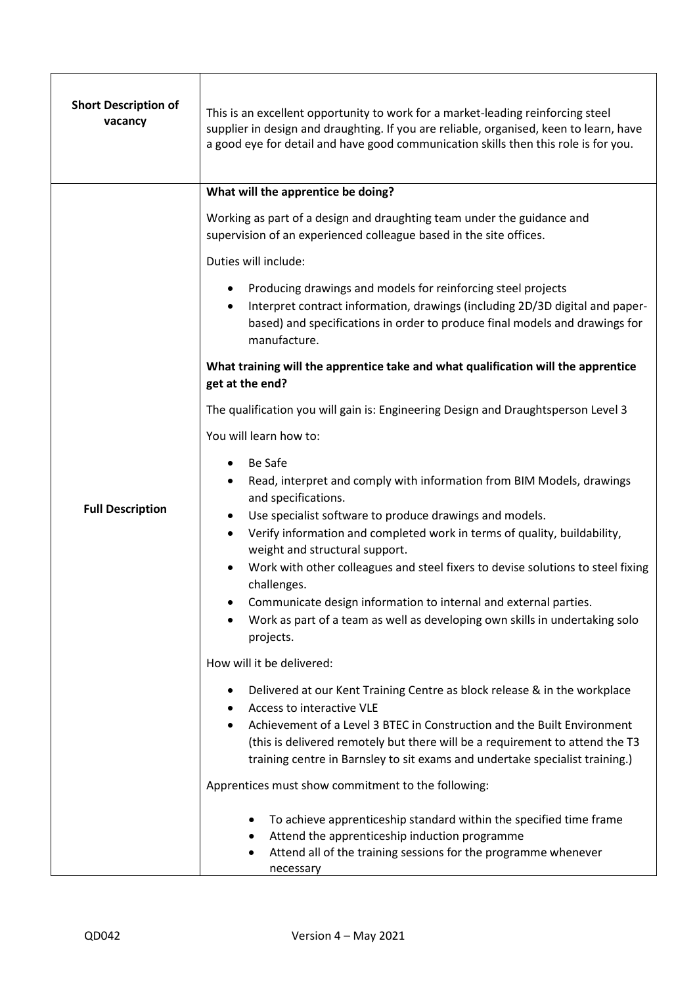| <b>Short Description of</b><br>vacancy | This is an excellent opportunity to work for a market-leading reinforcing steel<br>supplier in design and draughting. If you are reliable, organised, keen to learn, have<br>a good eye for detail and have good communication skills then this role is for you.                                                                                                                                                                                                                                                                                   |  |  |  |  |
|----------------------------------------|----------------------------------------------------------------------------------------------------------------------------------------------------------------------------------------------------------------------------------------------------------------------------------------------------------------------------------------------------------------------------------------------------------------------------------------------------------------------------------------------------------------------------------------------------|--|--|--|--|
|                                        | What will the apprentice be doing?                                                                                                                                                                                                                                                                                                                                                                                                                                                                                                                 |  |  |  |  |
|                                        | Working as part of a design and draughting team under the guidance and<br>supervision of an experienced colleague based in the site offices.                                                                                                                                                                                                                                                                                                                                                                                                       |  |  |  |  |
|                                        | Duties will include:                                                                                                                                                                                                                                                                                                                                                                                                                                                                                                                               |  |  |  |  |
| <b>Full Description</b>                | Producing drawings and models for reinforcing steel projects<br>Interpret contract information, drawings (including 2D/3D digital and paper-<br>based) and specifications in order to produce final models and drawings for<br>manufacture.                                                                                                                                                                                                                                                                                                        |  |  |  |  |
|                                        | What training will the apprentice take and what qualification will the apprentice<br>get at the end?                                                                                                                                                                                                                                                                                                                                                                                                                                               |  |  |  |  |
|                                        | The qualification you will gain is: Engineering Design and Draughtsperson Level 3                                                                                                                                                                                                                                                                                                                                                                                                                                                                  |  |  |  |  |
|                                        | You will learn how to:                                                                                                                                                                                                                                                                                                                                                                                                                                                                                                                             |  |  |  |  |
|                                        | Be Safe<br>Read, interpret and comply with information from BIM Models, drawings<br>and specifications.<br>Use specialist software to produce drawings and models.<br>Verify information and completed work in terms of quality, buildability,<br>weight and structural support.<br>Work with other colleagues and steel fixers to devise solutions to steel fixing<br>challenges.<br>Communicate design information to internal and external parties.<br>Work as part of a team as well as developing own skills in undertaking solo<br>projects. |  |  |  |  |
|                                        | How will it be delivered:                                                                                                                                                                                                                                                                                                                                                                                                                                                                                                                          |  |  |  |  |
|                                        | Delivered at our Kent Training Centre as block release & in the workplace<br>٠<br>Access to interactive VLE<br>Achievement of a Level 3 BTEC in Construction and the Built Environment<br>$\bullet$<br>(this is delivered remotely but there will be a requirement to attend the T3<br>training centre in Barnsley to sit exams and undertake specialist training.)                                                                                                                                                                                |  |  |  |  |
|                                        | Apprentices must show commitment to the following:                                                                                                                                                                                                                                                                                                                                                                                                                                                                                                 |  |  |  |  |
|                                        | To achieve apprenticeship standard within the specified time frame<br>٠<br>Attend the apprenticeship induction programme<br>$\bullet$<br>Attend all of the training sessions for the programme whenever<br>necessary                                                                                                                                                                                                                                                                                                                               |  |  |  |  |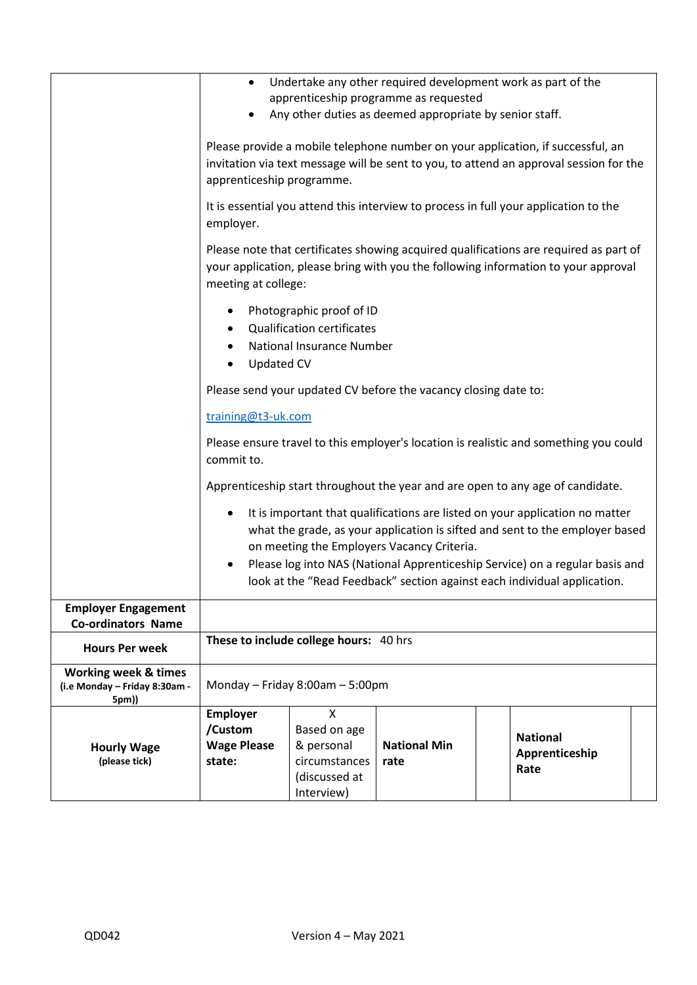| <b>Hourly Wage</b><br>(please tick)                                              | <b>Employer</b><br>/Custom<br><b>Wage Please</b><br>state:                                                                                                                                                                                                                                                                                                                                                                                               | X<br>Based on age<br>& personal<br>circumstances<br>(discussed at<br>Interview) | <b>National Min</b><br>rate           | <b>National</b><br>Apprenticeship<br>Rate                    |  |  |  |
|----------------------------------------------------------------------------------|----------------------------------------------------------------------------------------------------------------------------------------------------------------------------------------------------------------------------------------------------------------------------------------------------------------------------------------------------------------------------------------------------------------------------------------------------------|---------------------------------------------------------------------------------|---------------------------------------|--------------------------------------------------------------|--|--|--|
| <b>Working week &amp; times</b><br>(i.e Monday - Friday 8:30am -<br>5pm))        | Monday - Friday 8:00am - 5:00pm                                                                                                                                                                                                                                                                                                                                                                                                                          |                                                                                 |                                       |                                                              |  |  |  |
| <b>Employer Engagement</b><br><b>Co-ordinators Name</b><br><b>Hours Per week</b> | These to include college hours: 40 hrs                                                                                                                                                                                                                                                                                                                                                                                                                   |                                                                                 |                                       |                                                              |  |  |  |
|                                                                                  | Apprenticeship start throughout the year and are open to any age of candidate.<br>It is important that qualifications are listed on your application no matter<br>what the grade, as your application is sifted and sent to the employer based<br>on meeting the Employers Vacancy Criteria.<br>Please log into NAS (National Apprenticeship Service) on a regular basis and<br>look at the "Read Feedback" section against each individual application. |                                                                                 |                                       |                                                              |  |  |  |
|                                                                                  | training@t3-uk.com<br>Please ensure travel to this employer's location is realistic and something you could<br>commit to.                                                                                                                                                                                                                                                                                                                                |                                                                                 |                                       |                                                              |  |  |  |
|                                                                                  | Photographic proof of ID<br><b>Qualification certificates</b><br>National Insurance Number<br><b>Updated CV</b><br>٠<br>Please send your updated CV before the vacancy closing date to:                                                                                                                                                                                                                                                                  |                                                                                 |                                       |                                                              |  |  |  |
|                                                                                  | employer.<br>Please note that certificates showing acquired qualifications are required as part of<br>your application, please bring with you the following information to your approval<br>meeting at college:                                                                                                                                                                                                                                          |                                                                                 |                                       |                                                              |  |  |  |
|                                                                                  | Any other duties as deemed appropriate by senior staff.<br>Please provide a mobile telephone number on your application, if successful, an<br>invitation via text message will be sent to you, to attend an approval session for the<br>apprenticeship programme.<br>It is essential you attend this interview to process in full your application to the                                                                                                |                                                                                 |                                       |                                                              |  |  |  |
|                                                                                  | $\bullet$                                                                                                                                                                                                                                                                                                                                                                                                                                                |                                                                                 | apprenticeship programme as requested | Undertake any other required development work as part of the |  |  |  |